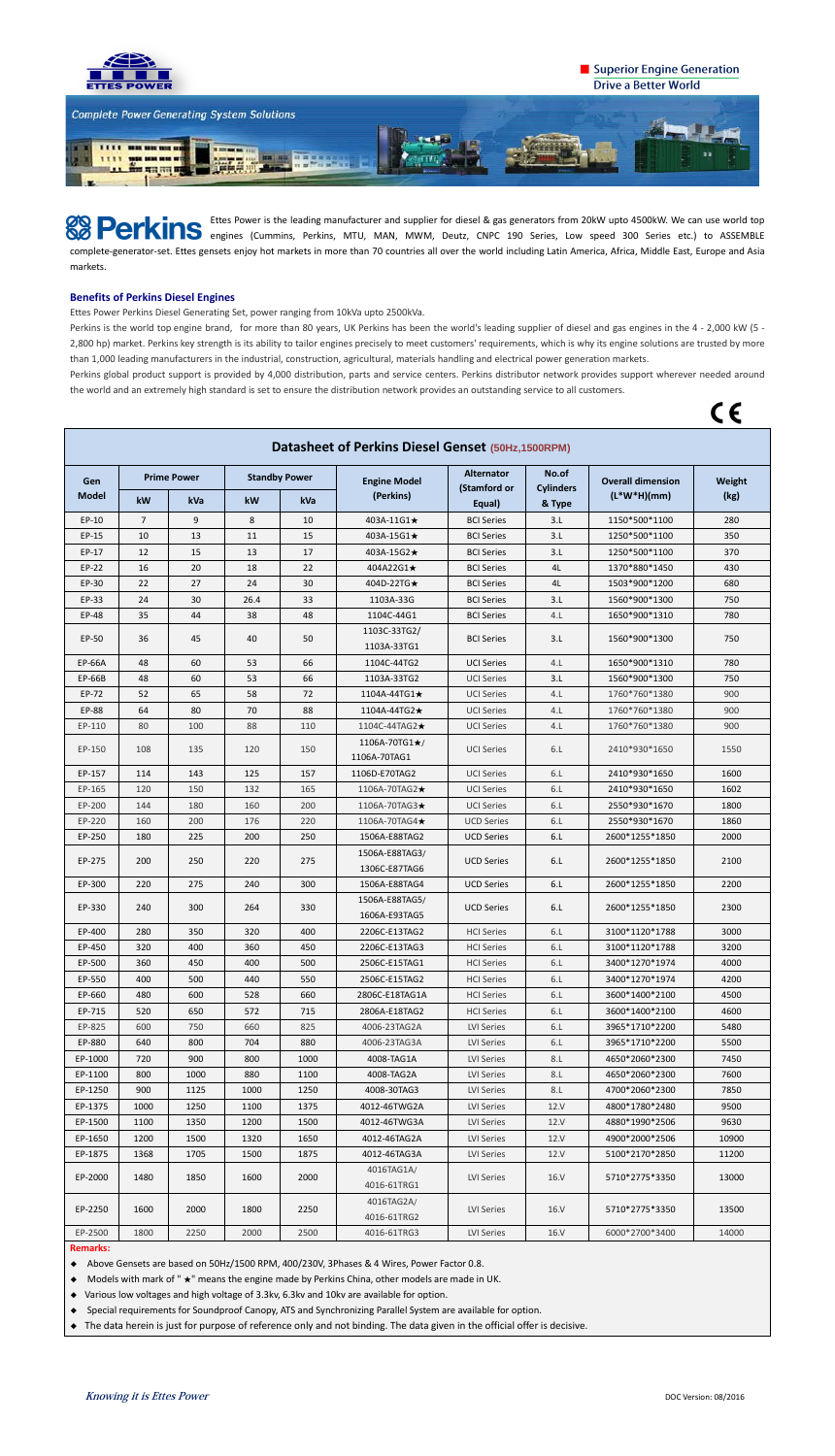

## Superior Engine Generation **Drive a Better World**



Ettes Power is the leading manufacturer and supplier for diesel & gas generators from 20kW upto 4500kW. We can use world top engines (Cummins, Perkins, MTU, MAN, MWM, Deutz, CNPC 190 Series, Low speed 300 Series etc.) to ASSEMBLE complete-generator-set. Ettes gensets enjoy hot markets in more than 70 countries all over the world including Latin America, Africa, Middle East, Europe and Asia markets.

## **Benefits of Perkins Diesel Engines**

Ettes Power Perkins Diesel Generating Set, power ranging from 10kVa upto 2500kVa.

Perkins is the world top engine brand, for more than 80 years, UK Perkins has been the world's leading supplier of diesel and gas engines in the 4 - 2,000 kW (5 - 2,800 hp) market. Perkins key strength is its ability to tailor engines precisely to meet customers' requirements, which is why its engine solutions are trusted by more than 1,000 leading manufacturers in the industrial, construction, agricultural, materials handling and electrical power generation markets.

Perkins global product support is provided by 4,000 distribution, parts and service centers. Perkins distributor network provides support wherever needed around the world and an extremely high standard is set to ensure the distribution network provides an outstanding service to all customers.

 $C \in$ 

| Datasheet of Perkins Diesel Genset (50Hz,1500RPM) |                    |      |                      |      |                                       |                                   |                           |                                           |        |  |
|---------------------------------------------------|--------------------|------|----------------------|------|---------------------------------------|-----------------------------------|---------------------------|-------------------------------------------|--------|--|
| Gen<br><b>Model</b>                               | <b>Prime Power</b> |      | <b>Standby Power</b> |      | <b>Engine Model</b>                   | <b>Alternator</b><br>(Stamford or | No.of<br><b>Cylinders</b> | <b>Overall dimension</b><br>$(L*W*H)(mm)$ | Weight |  |
|                                                   | kW                 | kVa  | kW                   | kVa  | (Perkins)                             | Equal)                            | & Type                    |                                           | (kg)   |  |
| EP-10                                             | $\overline{7}$     | 9    | 8                    | 10   | 403A-11G1★                            | <b>BCI Series</b>                 | 3.L                       | 1150*500*1100                             | 280    |  |
| EP-15                                             | 10                 | 13   | 11                   | 15   | 403A-15G1★                            | <b>BCI Series</b>                 | 3.L                       | 1250*500*1100                             | 350    |  |
| EP-17                                             | 12                 | 15   | 13                   | 17   | 403A-15G2★                            | <b>BCI Series</b>                 | 3.L                       | 1250*500*1100                             | 370    |  |
| EP-22                                             | 16                 | 20   | 18                   | 22   | 404A22G1★                             | <b>BCI Series</b>                 | 4L                        | 1370*880*1450                             | 430    |  |
| EP-30                                             | 22                 | 27   | 24                   | 30   | 404D-22TG★                            | <b>BCI Series</b>                 | 4L                        | 1503*900*1200                             | 680    |  |
| EP-33                                             | 24                 | 30   | 26.4                 | 33   | 1103A-33G                             | <b>BCI Series</b>                 | 3.L                       | 1560*900*1300                             | 750    |  |
| EP-48                                             | 35                 | 44   | 38                   | 48   | 1104C-44G1                            | <b>BCI Series</b>                 | 4.L                       | 1650*900*1310                             | 780    |  |
| EP-50                                             | 36                 | 45   | 40                   | 50   | 1103C-33TG2/<br>1103A-33TG1           | <b>BCI Series</b>                 | 3.L                       | 1560*900*1300                             | 750    |  |
| EP-66A                                            | 48                 | 60   | 53                   | 66   | 1104C-44TG2                           | <b>UCI Series</b>                 | 4.L                       | 1650*900*1310                             | 780    |  |
| EP-66B                                            | 48                 | 60   | 53                   | 66   | 1103A-33TG2                           | <b>UCI Series</b>                 | 3.L                       | 1560*900*1300                             | 750    |  |
| EP-72                                             | 52                 | 65   | 58                   | 72   | 1104A-44TG1★                          | <b>UCI Series</b>                 | 4.L                       | 1760*760*1380                             | 900    |  |
| EP-88                                             | 64                 | 80   | 70                   | 88   | 1104A-44TG2★                          | <b>UCI Series</b>                 | 4.L                       | 1760*760*1380                             | 900    |  |
| EP-110                                            | 80                 | 100  | 88                   | 110  | 1104C-44TAG2★                         | <b>UCI Series</b>                 | 4.L                       | 1760*760*1380                             | 900    |  |
| EP-150                                            | 108                | 135  | 120                  | 150  | 1106A-70TG1 $\star$ /<br>1106A-70TAG1 | <b>UCI Series</b>                 | 6.L                       | 2410*930*1650                             | 1550   |  |
| EP-157                                            | 114                | 143  | 125                  | 157  | 1106D-E70TAG2                         | <b>UCI Series</b>                 | 6.L                       | 2410*930*1650                             | 1600   |  |
| EP-165                                            | 120                | 150  | 132                  | 165  | 1106A-70TAG2★                         | <b>UCI Series</b>                 | 6.L                       | 2410*930*1650                             | 1602   |  |
| EP-200                                            | 144                | 180  | 160                  | 200  | 1106A-70TAG3★                         | <b>UCI Series</b>                 | 6.L                       | 2550*930*1670                             | 1800   |  |
| EP-220                                            | 160                | 200  | 176                  | 220  | 1106A-70TAG4★                         | <b>UCD Series</b>                 | 6.L                       | 2550*930*1670                             | 1860   |  |
| EP-250                                            | 180                | 225  | 200                  | 250  | 1506A-E88TAG2                         | <b>UCD Series</b>                 | 6.L                       | 2600*1255*1850                            | 2000   |  |
| EP-275                                            | 200                | 250  | 220                  | 275  | 1506A-E88TAG3/<br>1306C-E87TAG6       | <b>UCD Series</b>                 | 6.L                       | 2600*1255*1850                            | 2100   |  |
| EP-300                                            | 220                | 275  | 240                  | 300  | 1506A-E88TAG4                         | <b>UCD Series</b>                 | 6.L                       | 2600*1255*1850                            | 2200   |  |
| EP-330                                            | 240                | 300  | 264                  | 330  | 1506A-E88TAG5/<br>1606A-E93TAG5       | <b>UCD Series</b>                 | 6.L                       | 2600*1255*1850                            | 2300   |  |
| EP-400                                            | 280                | 350  | 320                  | 400  | 2206C-E13TAG2                         | <b>HCI Series</b>                 | 6.L                       | 3100*1120*1788                            | 3000   |  |
| EP-450                                            | 320                | 400  | 360                  | 450  | 2206C-E13TAG3                         | <b>HCI Series</b>                 | 6.L                       | 3100*1120*1788                            | 3200   |  |
| EP-500                                            | 360                | 450  | 400                  | 500  | 2506C-E15TAG1                         | <b>HCI Series</b>                 | 6.L                       | 3400*1270*1974                            | 4000   |  |
| EP-550                                            | 400                | 500  | 440                  | 550  | 2506C-E15TAG2                         | <b>HCI Series</b>                 | 6.L                       | 3400*1270*1974                            | 4200   |  |
| EP-660                                            | 480                | 600  | 528                  | 660  | 2806C-E18TAG1A                        | <b>HCI Series</b>                 | 6.L                       | 3600*1400*2100                            | 4500   |  |
| EP-715                                            | 520                | 650  | 572                  | 715  | 2806A-E18TAG2                         | <b>HCI Series</b>                 | 6.L                       | 3600*1400*2100                            | 4600   |  |
| EP-825                                            | 600                | 750  | 660                  | 825  | 4006-23TAG2A                          | LVI Series                        | 6.L                       | 3965*1710*2200                            | 5480   |  |
| EP-880                                            | 640                | 800  | 704                  | 880  | 4006-23TAG3A                          | LVI Series                        | 6.L                       | 3965*1710*2200                            | 5500   |  |
| EP-1000                                           | 720                | 900  | 800                  | 1000 | 4008-TAG1A                            | LVI Series                        | 8.L                       | 4650*2060*2300                            | 7450   |  |
| EP-1100                                           | 800                | 1000 | 880                  | 1100 | 4008-TAG2A                            | LVI Series                        | 8.L                       | 4650*2060*2300                            | 7600   |  |
| EP-1250                                           | 900                | 1125 | 1000                 | 1250 | 4008-30TAG3                           | LVI Series                        | 8.L                       | 4700*2060*2300                            | 7850   |  |
| EP-1375                                           | 1000               | 1250 | 1100                 | 1375 | 4012-46TWG2A                          | LVI Series                        | 12.V                      | 4800*1780*2480                            | 9500   |  |
| EP-1500                                           | 1100               | 1350 | 1200                 | 1500 | 4012-46TWG3A                          | LVI Series                        | 12.V                      | 4880*1990*2506                            | 9630   |  |
| EP-1650                                           | 1200               | 1500 | 1320                 | 1650 | 4012-46TAG2A                          | LVI Series                        | 12.V                      | 4900*2000*2506                            | 10900  |  |
| EP-1875                                           | 1368               | 1705 | 1500                 | 1875 | 4012-46TAG3A                          | LVI Series                        | 12.V                      | 5100*2170*2850                            | 11200  |  |
| EP-2000                                           | 1480               | 1850 | 1600                 | 2000 | 4016TAG1A/<br>4016-61TRG1             | <b>LVI Series</b>                 | 16.V                      | 5710*2775*3350                            | 13000  |  |
| EP-2250                                           | 1600               | 2000 | 1800                 | 2250 | 4016TAG2A/<br>4016-61TRG2             | LVI Series                        | 16.V                      | 5710*2775*3350                            | 13500  |  |
| EP-2500                                           | 1800               | 2250 | 2000                 | 2500 | 4016-61TRG3                           | LVI Series                        | 16.V                      | 6000*2700*3400                            | 14000  |  |
| <b>Domarker</b>                                   |                    |      |                      |      |                                       |                                   |                           |                                           |        |  |

**Remarks:**

◆ Above Gensets are based on 50Hz/1500 RPM, 400/230V, 3Phases & 4 Wires, Power Factor 0.8.

◆ Models with mark of " ★" means the engine made by Perkins China, other models are made in UK.

◆ Various low voltages and high voltage of 3.3kv, 6.3kv and 10kv are available for option.

◆ Special requirements for Soundproof Canopy, ATS and Synchronizing Parallel System are available for option.

◆ The data herein is just for purpose of reference only and not binding. The data given in the official offer is decisive.